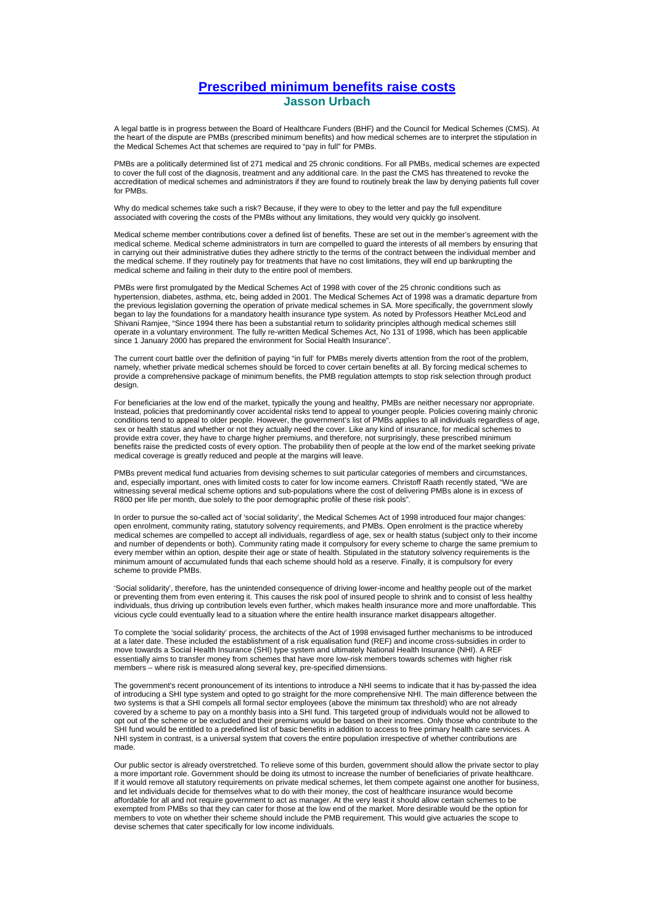## **Prescribed minimum benefits raise costs Jasson Urbach**

A legal battle is in progress between the Board of Healthcare Funders (BHF) and the Council for Medical Schemes (CMS). At the heart of the dispute are PMBs (prescribed minimum benefits) and how medical schemes are to interpret the stipulation in the Medical Schemes Act that schemes are required to "pay in full" for PMBs.

PMBs are a politically determined list of 271 medical and 25 chronic conditions. For all PMBs, medical schemes are expected to cover the full cost of the diagnosis, treatment and any additional care. In the past the CMS has threatened to revoke the accreditation of medical schemes and administrators if they are found to routinely break the law by denying patients full cover for PMBs.

Why do medical schemes take such a risk? Because, if they were to obey to the letter and pay the full expenditure associated with covering the costs of the PMBs without any limitations, they would very quickly go insolvent.

Medical scheme member contributions cover a defined list of benefits. These are set out in the member's agreement with the medical scheme. Medical scheme administrators in turn are compelled to guard the interests of all members by ensuring that in carrying out their administrative duties they adhere strictly to the terms of the contract between the individual member and the medical scheme. If they routinely pay for treatments that have no cost limitations, they will end up bankrupting the medical scheme and failing in their duty to the entire pool of members.

PMBs were first promulgated by the Medical Schemes Act of 1998 with cover of the 25 chronic conditions such as hypertension, diabetes, asthma, etc, being added in 2001. The Medical Schemes Act of 1998 was a dramatic departure from the previous legislation governing the operation of private medical schemes in SA. More specifically, the government slowly began to lay the foundations for a mandatory health insurance type system. As noted by Professors Heather McLeod and Shivani Ramjee, "Since 1994 there has been a substantial return to solidarity principles although medical schemes still operate in a voluntary environment. The fully re-written Medical Schemes Act, No 131 of 1998, which has been applicable since 1 January 2000 has prepared the environment for Social Health Insurance".

The current court battle over the definition of paying "in full' for PMBs merely diverts attention from the root of the problem, namely, whether private medical schemes should be forced to cover certain benefits at all. By forcing medical schemes to provide a comprehensive package of minimum benefits, the PMB regulation attempts to stop risk selection through product design.

For beneficiaries at the low end of the market, typically the young and healthy, PMBs are neither necessary nor appropriate. Instead, policies that predominantly cover accidental risks tend to appeal to younger people. Policies covering mainly chronic conditions tend to appeal to older people. However, the government's list of PMBs applies to all individuals regardless of age, sex or health status and whether or not they actually need the cover. Like any kind of insurance, for medical schemes to provide extra cover, they have to charge higher premiums, and therefore, not surprisingly, these prescribed minimum benefits raise the predicted costs of every option. The probability then of people at the low end of the market seeking private medical coverage is greatly reduced and people at the margins will leave.

PMBs prevent medical fund actuaries from devising schemes to suit particular categories of members and circumstances, and, especially important, ones with limited costs to cater for low income earners. Christoff Raath recently stated, "We are witnessing several medical scheme options and sub-populations where the cost of delivering PMBs alone is in excess of R800 per life per month, due solely to the poor demographic profile of these risk pools".

In order to pursue the so-called act of 'social solidarity', the Medical Schemes Act of 1998 introduced four major changes: open enrolment, community rating, statutory solvency requirements, and PMBs. Open enrolment is the practice whereby medical schemes are compelled to accept all individuals, regardless of age, sex or health status (subject only to their income and number of dependents or both). Community rating made it compulsory for every scheme to charge the same premium to every member within an option, despite their age or state of health. Stipulated in the statutory solvency requirements is the minimum amount of accumulated funds that each scheme should hold as a reserve. Finally, it is compulsory for every scheme to provide PMBs.

'Social solidarity', therefore, has the unintended consequence of driving lower-income and healthy people out of the market or preventing them from even entering it. This causes the risk pool of insured people to shrink and to consist of less healthy individuals, thus driving up contribution levels even further, which makes health insurance more and more unaffordable. This vicious cycle could eventually lead to a situation where the entire health insurance market disappears altogether.

To complete the 'social solidarity' process, the architects of the Act of 1998 envisaged further mechanisms to be introduced at a later date. These included the establishment of a risk equalisation fund (REF) and income cross-subsidies in order to move towards a Social Health Insurance (SHI) type system and ultimately National Health Insurance (NHI). A REF essentially aims to transfer money from schemes that have more low-risk members towards schemes with higher risk members – where risk is measured along several key, pre-specified dimensions.

The government's recent pronouncement of its intentions to introduce a NHI seems to indicate that it has by-passed the idea of introducing a SHI type system and opted to go straight for the more comprehensive NHI. The main difference between the two systems is that a SHI compels all formal sector employees (above the minimum tax threshold) who are not already covered by a scheme to pay on a monthly basis into a SHI fund. This targeted group of individuals would not be allowed to opt out of the scheme or be excluded and their premiums would be based on their incomes. Only those who contribute to the SHI fund would be entitled to a predefined list of basic benefits in addition to access to free primary health care services. A NHI system in contrast, is a universal system that covers the entire population irrespective of whether contributions are made.

Our public sector is already overstretched. To relieve some of this burden, government should allow the private sector to play a more important role. Government should be doing its utmost to increase the number of beneficiaries of private healthcare. If it would remove all statutory requirements on private medical schemes, let them compete against one another for business, and let individuals decide for themselves what to do with their money, the cost of healthcare insurance would become affordable for all and not require government to act as manager. At the very least it should allow certain schemes to be exempted from PMBs so that they can cater for those at the low end of the market. More desirable would be the option for members to vote on whether their scheme should include the PMB requirement. This would give actuaries the scope to devise schemes that cater specifically for low income individuals.